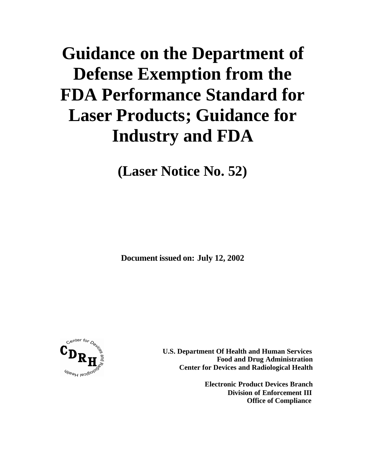# **Guidance on the Department of Defense Exemption from the FDA Performance Standard for Laser Products; Guidance for Industry and FDA**

**(Laser Notice No. 52)**

**Document issued on: July 12, 2002**



**U.S. Department Of Health and Human Services Food and Drug Administration Center for Devices and Radiological Health**

> **Electronic Product Devices Branch Division of Enforcement III Office of Compliance**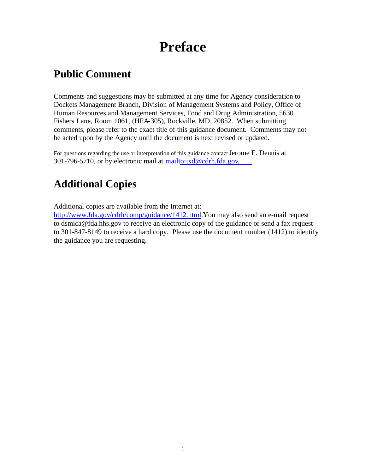## **Preface**

### **Public Comment**

Comments and suggestions may be submitted at any time for Agency consideration to Dockets Management Branch, Division of Management Systems and Policy, Office of Human Resources and Management Services, Food and Drug Administration, 5630 Fishers Lane, Room 1061, (HFA-305), Rockville, MD, 20852. When submitting comments, please refer to the exact title of this guidance document. Comments may not be acted upon by the Agency until the document is next revised or updated.

For questions regarding the use or interpretation of this guidance contact Jerome E. Dennis at 301-796-5710, or by electronic mail at mailto:jxd@cdrh.fda.gov.

### **Additional Copies**

Additional copies are available from the Internet at:

http://www.fda.gov/cdrh/comp/guidance/1412.html. You may also send an e-mail request to dsmica@fda.hhs.gov to receive an electronic copy of the guidance or send a fax request to 301-847-8149 to receive a hard copy. Please use the document number (1412) to identify the guidance you are requesting.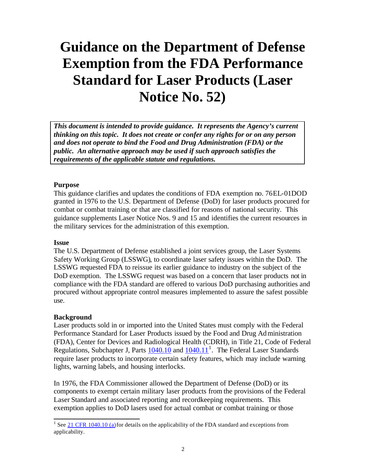## **Guidance on the Department of Defense Exemption from the FDA Performance Standard for Laser Products (Laser Notice No. 52)**

*This document is intended to provide guidance. It represents the Agency's current thinking on this topic. It does not create or confer any rights for or on any person and does not operate to bind the Food and Drug Administration (FDA) or the public. An alternative approach may be used if such approach satisfies the requirements of the applicable statute and regulations.* 

#### **Purpose**

This guidance clarifies and updates the conditions of FDA exemption no. 76EL-01DOD granted in 1976 to the U.S. Department of Defense (DoD) for laser products procured for combat or combat training or that are classified for reasons of national security. This guidance supplements Laser Notice Nos. 9 and 15 and identifies the current resources in the military services for the administration of this exemption.

#### **Issue**

The U.S. Department of Defense established a joint services group, the Laser Systems Safety Working Group (LSSWG), to coordinate laser safety issues within the DoD. The LSSWG requested FDA to reissue its earlier guidance to industry on the subject of the DoD exemption. The LSSWG request was based on a concern that laser products not in compliance with the FDA standard are offered to various DoD purchasing authorities and procured without appropriate control measures implemented to assure the safest possible use.

#### **Background**

Laser products sold in or imported into the United States must comply with the Federal Performance Standard for Laser Products issued by the Food and Drug Administration (FDA), Center for Devices and Radiological Health (CDRH), in Title 21, Code of Federal Regulations, Subchapter J, Parts  $\frac{1040.10}{10}$  and  $\frac{1040.11}{10}$ . The Federal Laser Standards require laser products to incorporate certain safety features, which may include warning lights, warning labels, and housing interlocks.

In 1976, the FDA Commissioner allowed the Department of Defense (DoD) or its components to exempt certain military laser products from the provisions of the Federal Laser Standard and associated reporting and recordkeeping requirements. This exemption applies to DoD lasers used for actual combat or combat training or those

<sup>&</sup>lt;sup>1</sup> See 21 CFR 1040.10 (a) for details on the applicability of the FDA standard and exceptions from applicability.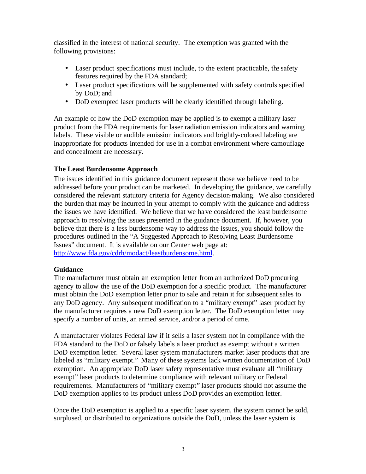classified in the interest of national security. The exemption was granted with the following provisions:

- Laser product specifications must include, to the extent practicable, the safety features required by the FDA standard;
- Laser product specifications will be supplemented with safety controls specified by DoD; and
- DoD exempted laser products will be clearly identified through labeling.

An example of how the DoD exemption may be applied is to exempt a military laser product from the FDA requirements for laser radiation emission indicators and warning labels. These visible or audible emission indicators and brightly-colored labeling are inappropriate for products intended for use in a combat environment where camouflage and concealment are necessary.

#### **The Least Burdensome Approach**

The issues identified in this guidance document represent those we believe need to be addressed before your product can be marketed. In developing the guidance, we carefully considered the relevant statutory criteria for Agency decision-making. We also considered the burden that may be incurred in your attempt to comply with the guidance and address the issues we have identified. We believe that we have considered the least burdensome approach to resolving the issues presented in the guidance document. If, however, you believe that there is a less burdensome way to address the issues, you should follow the procedures outlined in the "A Suggested Approach to Resolving Least Burdensome Issues" document. It is available on our Center web page at: http://www.fda.gov/cdrh/modact/leastburdensome.html.

#### **Guidance**

The manufacturer must obtain an exemption letter from an authorized DoD procuring agency to allow the use of the DoD exemption for a specific product. The manufacturer must obtain the DoD exemption letter prior to sale and retain it for subsequent sales to any DoD agency. Any subsequent modification to a "military exempt" laser product by the manufacturer requires a new DoD exemption letter. The DoD exemption letter may specify a number of units, an armed service, and/or a period of time.

A manufacturer violates Federal law if it sells a laser system not in compliance with the FDA standard to the DoD or falsely labels a laser product as exempt without a written DoD exemption letter. Several laser system manufacturers market laser products that are labeled as "military exempt." Many of these systems lack written documentation of DoD exemption. An appropriate DoD laser safety representative must evaluate all "military exempt" laser products to determine compliance with relevant military or Federal requirements. Manufacturers of "military exempt" laser products should not assume the DoD exemption applies to its product unless DoD provides an exemption letter.

Once the DoD exemption is applied to a specific laser system, the system cannot be sold, surplused, or distributed to organizations outside the DoD, unless the laser system is